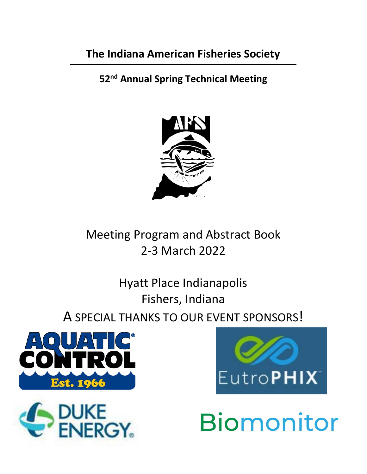# **The Indiana American Fisheries Society**

**52nd Annual Spring Technical Meeting**



Meeting Program and Abstract Book 2-3 March 2022

Hyatt Place Indianapolis Fishers, Indiana A SPECIAL THANKS TO OUR EVENT SPONSORS!







**Biomonitor**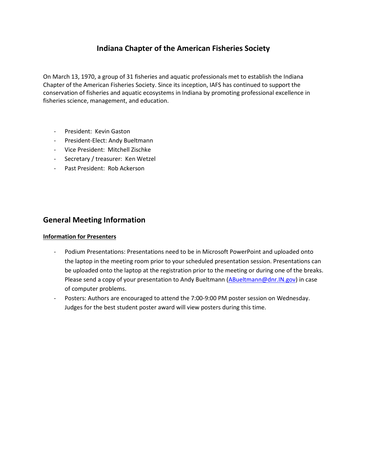## **Indiana Chapter of the American Fisheries Society**

On March 13, 1970, a group of 31 fisheries and aquatic professionals met to establish the Indiana Chapter of the American Fisheries Society. Since its inception, IAFS has continued to support the conservation of fisheries and aquatic ecosystems in Indiana by promoting professional excellence in fisheries science, management, and education.

- President: Kevin Gaston
- President-Elect: Andy Bueltmann
- Vice President: Mitchell Zischke
- Secretary / treasurer: Ken Wetzel
- Past President: Rob Ackerson

## **General Meeting Information**

### **Information for Presenters**

- Podium Presentations: Presentations need to be in Microsoft PowerPoint and uploaded onto the laptop in the meeting room prior to your scheduled presentation session. Presentations can be uploaded onto the laptop at the registration prior to the meeting or during one of the breaks. Please send a copy of your presentation to Andy Bueltmann [\(ABueltmann@dnr.IN.gov\)](mailto:ABueltmann@dnr.IN.gov) in case of computer problems.
- Posters: Authors are encouraged to attend the 7:00-9:00 PM poster session on Wednesday. Judges for the best student poster award will view posters during this time.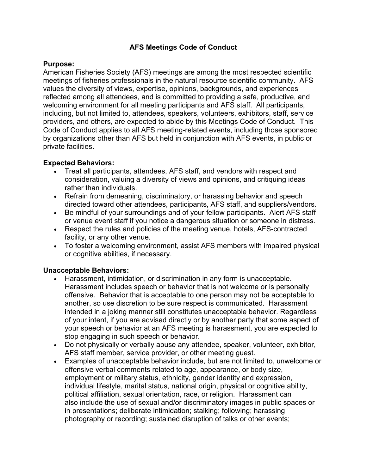## **AFS Meetings Code of Conduct**

### **Purpose:**

American Fisheries Society (AFS) meetings are among the most respected scientific meetings of fisheries professionals in the natural resource scientific community. AFS values the diversity of views, expertise, opinions, backgrounds, and experiences reflected among all attendees, and is committed to providing a safe, productive, and welcoming environment for all meeting participants and AFS staff. All participants, including, but not limited to, attendees, speakers, volunteers, exhibitors, staff, service providers, and others, are expected to abide by this Meetings Code of Conduct. This Code of Conduct applies to all AFS meeting-related events, including those sponsored by organizations other than AFS but held in conjunction with AFS events, in public or private facilities.

## **Expected Behaviors:**

- Treat all participants, attendees, AFS staff, and vendors with respect and consideration, valuing a diversity of views and opinions, and critiquing ideas rather than individuals.
- Refrain from demeaning, discriminatory, or harassing behavior and speech directed toward other attendees, participants, AFS staff, and suppliers/vendors.
- Be mindful of your surroundings and of your fellow participants. Alert AFS staff or venue event staff if you notice a dangerous situation or someone in distress.
- Respect the rules and policies of the meeting venue, hotels, AFS-contracted facility, or any other venue.
- To foster a welcoming environment, assist AFS members with impaired physical or cognitive abilities, if necessary.

### **Unacceptable Behaviors:**

- Harassment, intimidation, or discrimination in any form is unacceptable. Harassment includes speech or behavior that is not welcome or is personally offensive. Behavior that is acceptable to one person may not be acceptable to another, so use discretion to be sure respect is communicated. Harassment intended in a joking manner still constitutes unacceptable behavior. Regardless of your intent, if you are advised directly or by another party that some aspect of your speech or behavior at an AFS meeting is harassment, you are expected to stop engaging in such speech or behavior.
- Do not physically or verbally abuse any attendee, speaker, volunteer, exhibitor, AFS staff member, service provider, or other meeting guest.
- Examples of unacceptable behavior include, but are not limited to, unwelcome or offensive verbal comments related to age, appearance, or body size, employment or military status, ethnicity, gender identity and expression, individual lifestyle, marital status, national origin, physical or cognitive ability, political affiliation, sexual orientation, race, or religion. Harassment can also include the use of sexual and/or discriminatory images in public spaces or in presentations; deliberate intimidation; stalking; following; harassing photography or recording; sustained disruption of talks or other events;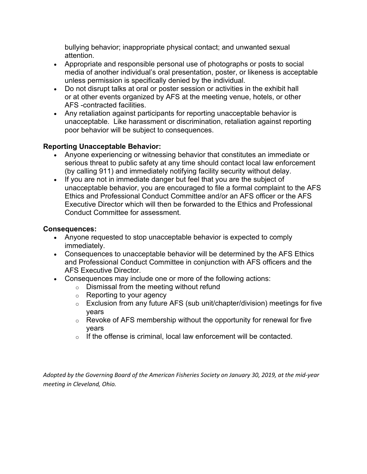bullying behavior; inappropriate physical contact; and unwanted sexual attention.

- Appropriate and responsible personal use of photographs or posts to social media of another individual's oral presentation, poster, or likeness is acceptable unless permission is specifically denied by the individual.
- Do not disrupt talks at oral or poster session or activities in the exhibit hall or at other events organized by AFS at the meeting venue, hotels, or other AFS -contracted facilities.
- Any retaliation against participants for reporting unacceptable behavior is unacceptable. Like harassment or discrimination, retaliation against reporting poor behavior will be subject to consequences.

## **Reporting Unacceptable Behavior:**

- Anyone experiencing or witnessing behavior that constitutes an immediate or serious threat to public safety at any time should contact local law enforcement (by calling 911) and immediately notifying facility security without delay.
- If you are not in immediate danger but feel that you are the subject of unacceptable behavior, you are encouraged to file a formal complaint to the AFS Ethics and Professional Conduct Committee and/or an AFS officer or the AFS Executive Director which will then be forwarded to the Ethics and Professional Conduct Committee for assessment.

## **Consequences:**

- Anyone requested to stop unacceptable behavior is expected to comply immediately.
- Consequences to unacceptable behavior will be determined by the AFS Ethics and Professional Conduct Committee in conjunction with AFS officers and the AFS Executive Director.
- Consequences may include one or more of the following actions:
	- o Dismissal from the meeting without refund
	- $\circ$  Reporting to your agency
	- $\circ$  Exclusion from any future AFS (sub unit/chapter/division) meetings for five years
	- $\circ$  Revoke of AFS membership without the opportunity for renewal for five years
	- o If the offense is criminal, local law enforcement will be contacted.

*Adopted by the Governing Board of the American Fisheries Society on January 30, 2019, at the mid-year meeting in Cleveland, Ohio.*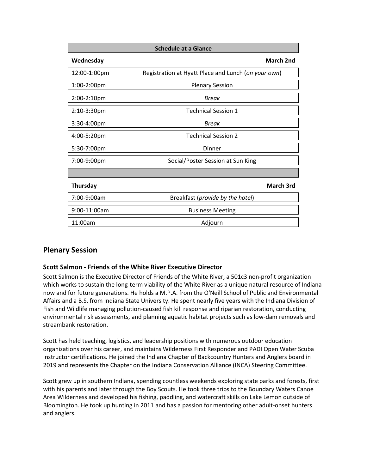| <b>Schedule at a Glance</b> |                                                     |  |
|-----------------------------|-----------------------------------------------------|--|
| Wednesday                   | <b>March 2nd</b>                                    |  |
| 12:00-1:00pm                | Registration at Hyatt Place and Lunch (on your own) |  |
| 1:00-2:00pm                 | <b>Plenary Session</b>                              |  |
| 2:00-2:10pm                 | Break                                               |  |
| 2:10-3:30pm                 | <b>Technical Session 1</b>                          |  |
| 3:30-4:00pm                 | Break                                               |  |
| 4:00-5:20pm                 | <b>Technical Session 2</b>                          |  |
| 5:30-7:00pm                 | Dinner                                              |  |
| 7:00-9:00pm                 | Social/Poster Session at Sun King                   |  |
|                             |                                                     |  |
| <b>Thursday</b>             | <b>March 3rd</b>                                    |  |
| 7:00-9:00am                 | Breakfast (provide by the hotel)                    |  |
| 9:00-11:00am                | <b>Business Meeting</b>                             |  |
| 11:00am                     | Adjourn                                             |  |

## **Plenary Session**

### **Scott Salmon - Friends of the White River Executive Director**

Scott Salmon is the Executive Director of Friends of the White River, a 501c3 non-profit organization which works to sustain the long-term viability of the White River as a unique natural resource of Indiana now and for future generations. He holds a M.P.A. from the O'Neill School of Public and Environmental Affairs and a B.S. from Indiana State University. He spent nearly five years with the Indiana Division of Fish and Wildlife managing pollution-caused fish kill response and riparian restoration, conducting environmental risk assessments, and planning aquatic habitat projects such as low-dam removals and streambank restoration.

Scott has held teaching, logistics, and leadership positions with numerous outdoor education organizations over his career, and maintains Wilderness First Responder and PADI Open Water Scuba Instructor certifications. He joined the Indiana Chapter of Backcountry Hunters and Anglers board in 2019 and represents the Chapter on the Indiana Conservation Alliance (INCA) Steering Committee.

Scott grew up in southern Indiana, spending countless weekends exploring state parks and forests, first with his parents and later through the Boy Scouts. He took three trips to the Boundary Waters Canoe Area Wilderness and developed his fishing, paddling, and watercraft skills on Lake Lemon outside of Bloomington. He took up hunting in 2011 and has a passion for mentoring other adult-onset hunters and anglers.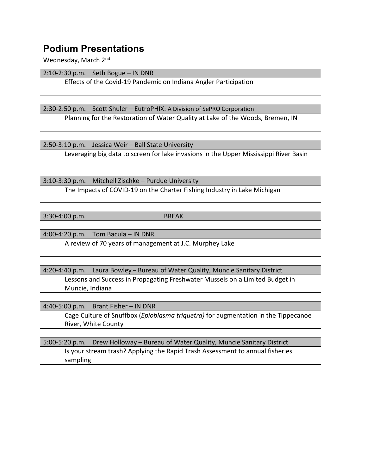## **Podium Presentations**

Wednesday, March 2nd

2:10-2:30 p.m. Seth Bogue – IN DNR

Effects of the Covid-19 Pandemic on Indiana Angler Participation

2:30-2:50 p.m. Scott Shuler – EutroPHIX: A Division of SePRO Corporation Planning for the Restoration of Water Quality at Lake of the Woods, Bremen, IN

2:50-3:10 p.m. Jessica Weir – Ball State University

Leveraging big data to screen for lake invasions in the Upper Mississippi River Basin

3:10-3:30 p.m. Mitchell Zischke – Purdue University

The Impacts of COVID-19 on the Charter Fishing Industry in Lake Michigan

3:30-4:00 p.m. BREAK

4:00-4:20 p.m. Tom Bacula – IN DNR A review of 70 years of management at J.C. Murphey Lake

4:20-4:40 p.m. Laura Bowley – Bureau of Water Quality, Muncie Sanitary District Lessons and Success in Propagating Freshwater Mussels on a Limited Budget in Muncie, Indiana

4:40-5:00 p.m. Brant Fisher – IN DNR

Cage Culture of Snuffbox (*Epioblasma triquetra)* for augmentation in the Tippecanoe River, White County

5:00-5:20 p.m. Drew Holloway – Bureau of Water Quality, Muncie Sanitary District Is your stream trash? Applying the Rapid Trash Assessment to annual fisheries sampling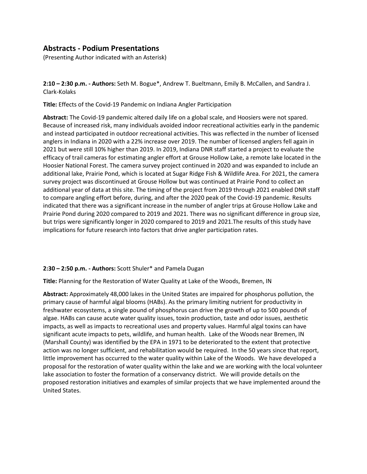## **Abstracts - Podium Presentations**

(Presenting Author indicated with an Asterisk)

**2:10 – 2:30 p.m. - Authors:** Seth M. Bogue\*, Andrew T. Bueltmann, Emily B. McCallen, and Sandra J. Clark-Kolaks

**Title:** Effects of the Covid-19 Pandemic on Indiana Angler Participation

**Abstract:** The Covid-19 pandemic altered daily life on a global scale, and Hoosiers were not spared. Because of increased risk, many individuals avoided indoor recreational activities early in the pandemic and instead participated in outdoor recreational activities. This was reflected in the number of licensed anglers in Indiana in 2020 with a 22% increase over 2019. The number of licensed anglers fell again in 2021 but were still 10% higher than 2019. In 2019, Indiana DNR staff started a project to evaluate the efficacy of trail cameras for estimating angler effort at Grouse Hollow Lake, a remote lake located in the Hoosier National Forest. The camera survey project continued in 2020 and was expanded to include an additional lake, Prairie Pond, which is located at Sugar Ridge Fish & Wildlife Area. For 2021, the camera survey project was discontinued at Grouse Hollow but was continued at Prairie Pond to collect an additional year of data at this site. The timing of the project from 2019 through 2021 enabled DNR staff to compare angling effort before, during, and after the 2020 peak of the Covid-19 pandemic. Results indicated that there was a significant increase in the number of angler trips at Grouse Hollow Lake and Prairie Pond during 2020 compared to 2019 and 2021. There was no significant difference in group size, but trips were significantly longer in 2020 compared to 2019 and 2021.The results of this study have implications for future research into factors that drive angler participation rates.

### **2:30 – 2:50 p.m. - Authors:** Scott Shuler\* and Pamela Dugan

**Title:** Planning for the Restoration of Water Quality at Lake of the Woods, Bremen, IN

**Abstract:** Approximately 48,000 lakes in the United States are impaired for phosphorus pollution, the primary cause of harmful algal blooms (HABs). As the primary limiting nutrient for productivity in freshwater ecosystems, a single pound of phosphorus can drive the growth of up to 500 pounds of algae. HABs can cause acute water quality issues, toxin production, taste and odor issues, aesthetic impacts, as well as impacts to recreational uses and property values. Harmful algal toxins can have significant acute impacts to pets, wildlife, and human health. Lake of the Woods near Bremen, IN (Marshall County) was identified by the EPA in 1971 to be deteriorated to the extent that protective action was no longer sufficient, and rehabilitation would be required. In the 50 years since that report, little improvement has occurred to the water quality within Lake of the Woods. We have developed a proposal for the restoration of water quality within the lake and we are working with the local volunteer lake association to foster the formation of a conservancy district. We will provide details on the proposed restoration initiatives and examples of similar projects that we have implemented around the United States.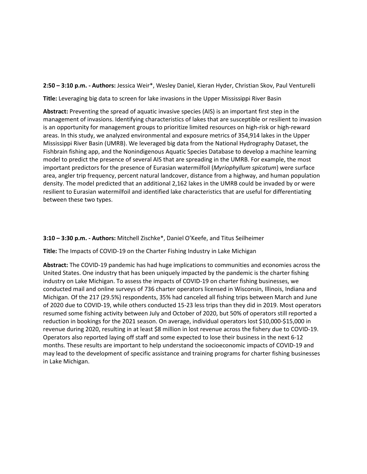**2:50 – 3:10 p.m. - Authors:** Jessica Weir\*, Wesley Daniel, Kieran Hyder, Christian Skov, Paul Venturelli

**Title:** Leveraging big data to screen for lake invasions in the Upper Mississippi River Basin

**Abstract:** Preventing the spread of aquatic invasive species (AIS) is an important first step in the management of invasions. Identifying characteristics of lakes that are susceptible or resilient to invasion is an opportunity for management groups to prioritize limited resources on high-risk or high-reward areas. In this study, we analyzed environmental and exposure metrics of 354,914 lakes in the Upper Mississippi River Basin (UMRB). We leveraged big data from the National Hydrography Dataset, the Fishbrain fishing app, and the Nonindigenous Aquatic Species Database to develop a machine learning model to predict the presence of several AIS that are spreading in the UMRB. For example, the most important predictors for the presence of Eurasian watermilfoil (*Myriophyllum spicatum*) were surface area, angler trip frequency, percent natural landcover, distance from a highway, and human population density. The model predicted that an additional 2,162 lakes in the UMRB could be invaded by or were resilient to Eurasian watermilfoil and identified lake characteristics that are useful for differentiating between these two types.

### **3:10 – 3:30 p.m. - Authors:** Mitchell Zischke\*, Daniel O'Keefe, and Titus Seilheimer

**Title:** The Impacts of COVID-19 on the Charter Fishing Industry in Lake Michigan

**Abstract:** The COVID-19 pandemic has had huge implications to communities and economies across the United States. One industry that has been uniquely impacted by the pandemic is the charter fishing industry on Lake Michigan. To assess the impacts of COVID-19 on charter fishing businesses, we conducted mail and online surveys of 736 charter operators licensed in Wisconsin, Illinois, Indiana and Michigan. Of the 217 (29.5%) respondents, 35% had canceled all fishing trips between March and June of 2020 due to COVID-19, while others conducted 15-23 less trips than they did in 2019. Most operators resumed some fishing activity between July and October of 2020, but 50% of operators still reported a reduction in bookings for the 2021 season. On average, individual operators lost \$10,000-\$15,000 in revenue during 2020, resulting in at least \$8 million in lost revenue across the fishery due to COVID-19. Operators also reported laying off staff and some expected to lose their business in the next 6-12 months. These results are important to help understand the socioeconomic impacts of COVID-19 and may lead to the development of specific assistance and training programs for charter fishing businesses in Lake Michigan.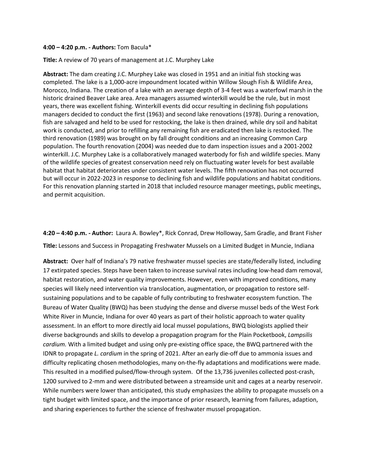#### **4:00 – 4:20 p.m. - Authors:** Tom Bacula\*

### **Title:** A review of 70 years of management at J.C. Murphey Lake

**Abstract:** The dam creating J.C. Murphey Lake was closed in 1951 and an initial fish stocking was completed. The lake is a 1,000-acre impoundment located within Willow Slough Fish & Wildlife Area, Morocco, Indiana. The creation of a lake with an average depth of 3-4 feet was a waterfowl marsh in the historic drained Beaver Lake area. Area managers assumed winterkill would be the rule, but in most years, there was excellent fishing. Winterkill events did occur resulting in declining fish populations managers decided to conduct the first (1963) and second lake renovations (1978). During a renovation, fish are salvaged and held to be used for restocking, the lake is then drained, while dry soil and habitat work is conducted, and prior to refilling any remaining fish are eradicated then lake is restocked. The third renovation (1989) was brought on by fall drought conditions and an increasing Common Carp population. The fourth renovation (2004) was needed due to dam inspection issues and a 2001-2002 winterkill. J.C. Murphey Lake is a collaboratively managed waterbody for fish and wildlife species. Many of the wildlife species of greatest conservation need rely on fluctuating water levels for best available habitat that habitat deteriorates under consistent water levels. The fifth renovation has not occurred but will occur in 2022-2023 in response to declining fish and wildlife populations and habitat conditions. For this renovation planning started in 2018 that included resource manager meetings, public meetings, and permit acquisition.

**4:20 – 4:40 p.m. - Author:** Laura A. Bowley\*, Rick Conrad, Drew Holloway, Sam Gradle, and Brant Fisher **Title:** Lessons and Success in Propagating Freshwater Mussels on a Limited Budget in Muncie, Indiana

**Abstract:** Over half of Indiana's 79 native freshwater mussel species are state/federally listed, including 17 extirpated species. Steps have been taken to increase survival rates including low-head dam removal, habitat restoration, and water quality improvements. However, even with improved conditions, many species will likely need intervention via translocation, augmentation, or propagation to restore selfsustaining populations and to be capable of fully contributing to freshwater ecosystem function. The Bureau of Water Quality (BWQ) has been studying the dense and diverse mussel beds of the West Fork White River in Muncie, Indiana for over 40 years as part of their holistic approach to water quality assessment. In an effort to more directly aid local mussel populations, BWQ biologists applied their diverse backgrounds and skills to develop a propagation program for the Plain Pocketbook, *Lampsilis cardium.* With a limited budget and using only pre-existing office space, the BWQ partnered with the IDNR to propagate *L. cardium* in the spring of 2021. After an early die-off due to ammonia issues and difficulty replicating chosen methodologies, many on-the-fly adaptations and modifications were made. This resulted in a modified pulsed/flow-through system. Of the 13,736 juveniles collected post-crash, 1200 survived to 2-mm and were distributed between a streamside unit and cages at a nearby reservoir. While numbers were lower than anticipated, this study emphasizes the ability to propagate mussels on a tight budget with limited space, and the importance of prior research, learning from failures, adaption, and sharing experiences to further the science of freshwater mussel propagation.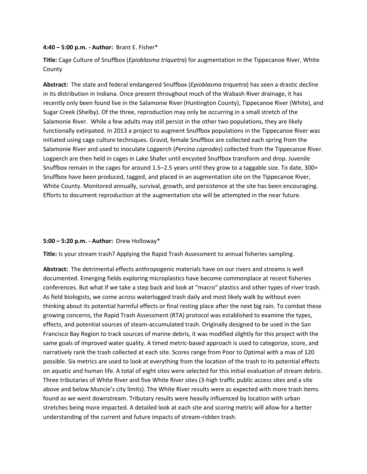### **4:40 – 5:00 p.m. - Author:** Brant E. Fisher\*

**Title:** Cage Culture of Snuffbox (*Epioblasma triquetra*) for augmentation in the Tippecanoe River, White County

**Abstract:** The state and federal endangered Snuffbox (*Epioblasma triquetra*) has seen a drastic decline in its distribution in Indiana. Once present throughout much of the Wabash River drainage, it has recently only been found live in the Salamonie River (Huntington County), Tippecanoe River (White), and Sugar Creek (Shelby). Of the three, reproduction may only be occurring in a small stretch of the Salamonie River. While a few adults may still persist in the other two populations, they are likely functionally extirpated. In 2013 a project to augment Snuffbox populations in the Tippecanoe River was initiated using cage culture techniques. Gravid, female Snuffbox are collected each spring from the Salamonie River and used to inoculate Logperch (*Percina caprodes*) collected from the Tippecanoe River. Logperch are then held in cages in Lake Shafer until encysted Snuffbox transform and drop. Juvenile Snuffbox remain in the cages for around 1.5–2.5 years until they grow to a taggable size. To date, 300+ Snuffbox have been produced, tagged, and placed in an augmentation site on the Tippecanoe River, White County. Monitored annually, survival, growth, and persistence at the site has been encouraging. Efforts to document reproduction at the augmentation site will be attempted in the near future.

### **5:00 – 5:20 p.m. - Author:** Drew Holloway\*

**Title:** Is your stream trash? Applying the Rapid Trash Assessment to annual fisheries sampling.

**Abstract:** The detrimental effects anthropogenic materials have on our rivers and streams is well documented. Emerging fields exploring microplastics have become commonplace at recent fisheries conferences. But what if we take a step back and look at "macro" plastics and other types of river trash. As field biologists, we come across waterlogged trash daily and most likely walk by without even thinking about its potential harmful effects or final resting place after the next big rain. To combat these growing concerns, the Rapid Trash Assessment (RTA) protocol was established to examine the types, effects, and potential sources of steam-accumulated trash. Originally designed to be used in the San Francisco Bay Region to track sources of marine debris, it was modified slightly for this project with the same goals of improved water quality. A timed metric-based approach is used to categorize, score, and narratively rank the trash collected at each site. Scores range from Poor to Optimal with a max of 120 possible. Six metrics are used to look at everything from the location of the trash to its potential effects on aquatic and human life. A total of eight sites were selected for this initial evaluation of stream debris. Three tributaries of White River and five White River sites (3-high traffic public access sites and a site above and below Muncie's city limits). The White River results were as expected with more trash items found as we went downstream. Tributary results were heavily influenced by location with urban stretches being more impacted. A detailed look at each site and scoring metric will allow for a better understanding of the current and future impacts of stream-ridden trash.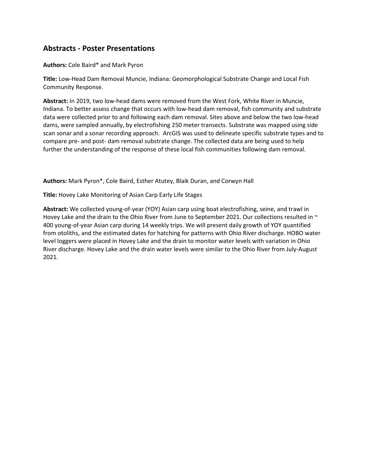## **Abstracts - Poster Presentations**

**Authors:** Cole Baird\* and Mark Pyron

**Title:** Low-Head Dam Removal Muncie, Indiana: Geomorphological Substrate Change and Local Fish Community Response.

**Abstract:** In 2019, two low-head dams were removed from the West Fork, White River in Muncie, Indiana. To better assess change that occurs with low-head dam removal, fish community and substrate data were collected prior to and following each dam removal. Sites above and below the two low-head dams, were sampled annually, by electrofishing 250 meter transects. Substrate was mapped using side scan sonar and a sonar recording approach. ArcGIS was used to delineate specific substrate types and to compare pre- and post- dam removal substrate change. The collected data are being used to help further the understanding of the response of these local fish communities following dam removal.

**Authors:** Mark Pyron\*, Cole Baird, Esther Atutey, Blaik Duran, and Corwyn Hall

**Title:** Hovey Lake Monitoring of Asian Carp Early Life Stages

**Abstract:** We collected young-of-year (YOY) Asian carp using boat electrofishing, seine, and trawl in Hovey Lake and the drain to the Ohio River from June to September 2021. Our collections resulted in  $\sim$ 400 young-of-year Asian carp during 14 weekly trips. We will present daily growth of YOY quantified from otoliths, and the estimated dates for hatching for patterns with Ohio River discharge. HOBO water level loggers were placed in Hovey Lake and the drain to monitor water levels with variation in Ohio River discharge. Hovey Lake and the drain water levels were similar to the Ohio River from July-August 2021.